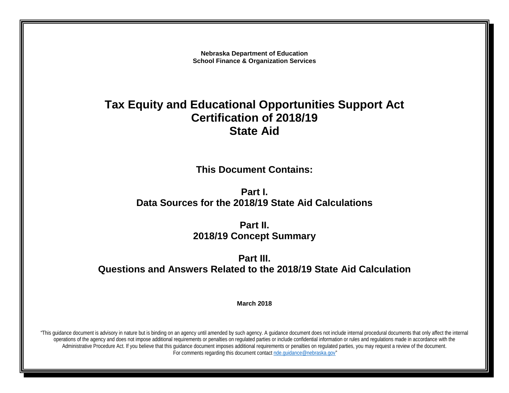**Nebraska Department of Education School Finance & Organization Services**

# **Tax Equity and Educational Opportunities Support Act Certification of 2018/19 State Aid**

**This Document Contains:**

**Part I. Data Sources for the 2018/19 State Aid Calculations**

> **Part II. 2018/19 Concept Summary**

**Part III. Questions and Answers Related to the 2018/19 State Aid Calculation**

**March 2018**

"This guidance document is advisory in nature but is binding on an agency until amended by such agency. A guidance document does not include internal procedural documents that only affect the internal operations of the agency and does not impose additional requirements or penalties on regulated parties or include confidential information or rules and regulations made in accordance with the Administrative Procedure Act. If you believe that this guidance document imposes additional requirements or penalties on regulated parties, you may request a review of the document. For comments regarding this document contact [nde.guidance@nebraska.gov"](mailto:nde.guidance@nebraska.gov)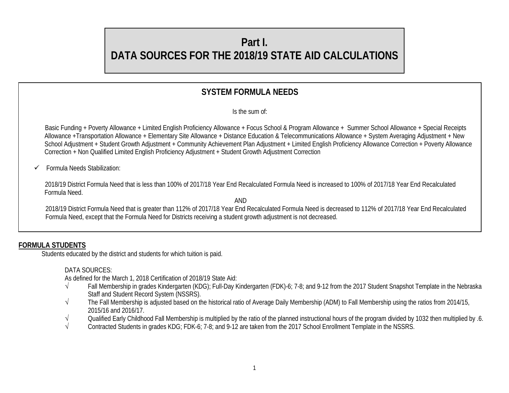# **Part I. DATA SOURCES FOR THE 2018/19 STATE AID CALCULATIONS**

# **SYSTEM FORMULA NEEDS**

Is the sum of:

 Basic Funding + Poverty Allowance + Limited English Proficiency Allowance + Focus School & Program Allowance + Summer School Allowance + Special Receipts Allowance +Transportation Allowance + Elementary Site Allowance + Distance Education & Telecommunications Allowance + System Averaging Adjustment + New School Adjustment + Student Growth Adjustment + Community Achievement Plan Adjustment + Limited English Proficiency Allowance Correction + Poverty Allowance Correction + Non Qualified Limited English Proficiency Adjustment + Student Growth Adjustment Correction

#### Formula Needs Stabilization:

 2018/19 District Formula Need that is less than 100% of 2017/18 Year End Recalculated Formula Need is increased to 100% of 2017/18 Year End Recalculated Formula Need.

AND

2018/19 District Formula Need that is greater than 112% of 2017/18 Year End Recalculated Formula Need is decreased to 112% of 2017/18 Year End Recalculated Formula Need, except that the Formula Need for Districts receiving a student growth adjustment is not decreased.

# **FORMULA STUDENTS**

Students educated by the district and students for which tuition is paid.

#### DATA SOURCES:

As defined for the March 1, 2018 Certification of 2018/19 State Aid:

- √ Fall Membership in grades Kindergarten (KDG); Full-Day Kindergarten (FDK)-6; 7-8; and 9-12 from the 2017 Student Snapshot Template in the Nebraska Staff and Student Record System (NSSRS).
- √ The Fall Membership is adjusted based on the historical ratio of Average Daily Membership (ADM) to Fall Membership using the ratios from 2014/15, 2015/16 and 2016/17.
- √ Qualified Early Childhood Fall Membership is multiplied by the ratio of the planned instructional hours of the program divided by 1032 then multiplied by .6.<br>Contracted Students in grades KDG: FDK-6: 7-8: and 9-12 are t
- Contracted Students in grades KDG; FDK-6; 7-8; and 9-12 are taken from the 2017 School Enrollment Template in the NSSRS.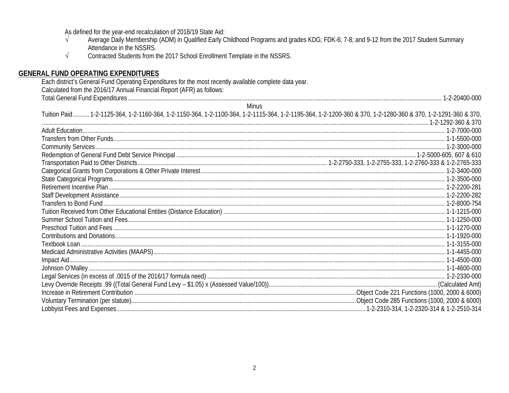As defined for the year-end recalculation of 2018/19 State Aid:

- Average Daily Membership (ADM) in Qualified Early Childhood Programs and grades KDG; FDK-6; 7-8; and 9-12 from the 2017 Student Summary  $\sqrt{ }$ Attendance in the NSSRS.
- Contracted Students from the 2017 School Enrollment Template in the NSSRS.  $\sqrt{ }$

#### **GENERAL FUND OPERATING EXPENDITURES**

Each district's General Fund Operating Expenditures for the most recently available complete data year. Calculated from the 2016/17 Annual Financial Report (AFR) as follows: **Minus** Tuition Paid.......... 1-2-1125-364, 1-2-1160-364, 1-2-1150-364, 1-2-1100-364, 1-2-1115-364, 1-2-1195-364, 1-2-1200-360 & 370, 1-2-1280-360 & 370, 1-2-1291-360 & 370,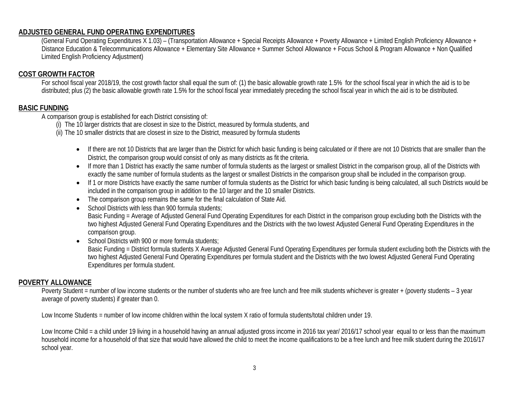#### **ADJUSTED GENERAL FUND OPERATING EXPENDITURES**

(General Fund Operating Expenditures X 1.03) – (Transportation Allowance + Special Receipts Allowance + Poverty Allowance + Limited English Proficiency Allowance + Distance Education & Telecommunications Allowance + Elementary Site Allowance + Summer School Allowance + Focus School & Program Allowance + Non Qualified Limited English Proficiency Adjustment)

#### **COST GROWTH FACTOR**

For school fiscal year 2018/19, the cost growth factor shall equal the sum of: (1) the basic allowable growth rate 1.5% for the school fiscal year in which the aid is to be distributed; plus (2) the basic allowable growth rate 1.5% for the school fiscal year immediately preceding the school fiscal year in which the aid is to be distributed.

#### **BASIC FUNDING**

A comparison group is established for each District consisting of:

(i) The 10 larger districts that are closest in size to the District, measured by formula students, and

(ii) The 10 smaller districts that are closest in size to the District, measured by formula students

- If there are not 10 Districts that are larger than the District for which basic funding is being calculated or if there are not 10 Districts that are smaller than the District, the comparison group would consist of only as many districts as fit the criteria.
- If more than 1 District has exactly the same number of formula students as the largest or smallest District in the comparison group, all of the Districts with exactly the same number of formula students as the largest or smallest Districts in the comparison group shall be included in the comparison group.
- If 1 or more Districts have exactly the same number of formula students as the District for which basic funding is being calculated, all such Districts would be included in the comparison group in addition to the 10 larger and the 10 smaller Districts.
- The comparison group remains the same for the final calculation of State Aid.
- School Districts with less than 900 formula students;

Basic Funding = Average of Adjusted General Fund Operating Expenditures for each District in the comparison group excluding both the Districts with the two highest Adjusted General Fund Operating Expenditures and the Districts with the two lowest Adjusted General Fund Operating Expenditures in the comparison group.

• School Districts with 900 or more formula students; Basic Funding = District formula students X Average Adjusted General Fund Operating Expenditures per formula student excluding both the Districts with the two highest Adjusted General Fund Operating Expenditures per formula student and the Districts with the two lowest Adjusted General Fund Operating Expenditures per formula student.

#### **POVERTY ALLOWANCE**

Poverty Student = number of low income students or the number of students who are free lunch and free milk students whichever is greater + (poverty students - 3 year average of poverty students) if greater than 0.

Low Income Students = number of low income children within the local system X ratio of formula students/total children under 19.

Low Income Child = a child under 19 living in a household having an annual adjusted gross income in 2016 tax year/ 2016/17 school year equal to or less than the maximum household income for a household of that size that would have allowed the child to meet the income qualifications to be a free lunch and free milk student during the 2016/17 school year.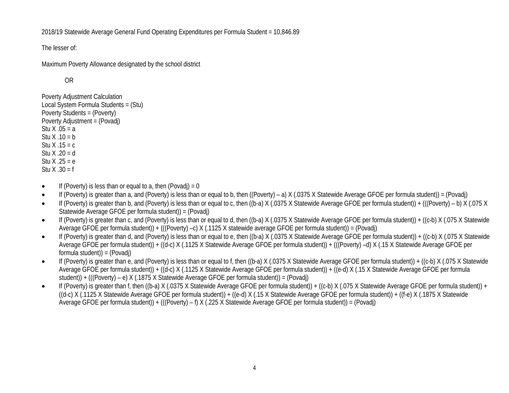2018/19 Statewide Average General Fund Operating Expenditures per Formula Student = 10,846.89

The lesser of:

Maximum Poverty Allowance designated by the school district

OR

Poverty Adjustment Calculation Local System Formula Students = (Stu) Poverty Students = (Poverty) Poverty Adjustment = (Povadj) Stu  $X .05 = a$ Stu  $X .10 = b$ Stu  $X$  .15 = c Stu X .20 = d Stu  $X .25 = e$ Stu  $X .30 = f$ 

- If (Poverty) is less than or equal to a, then (Povadi) = 0
- If (Poverty) is greater than a, and (Poverty) is less than or equal to b, then ((Poverty) a) X (.0375 X Statewide Average GFOE per formula student)) = (Povadj)
- If (Poverty) is greater than b, and (Poverty) is less than or equal to c, then ((b-a) X (.0375 X Statewide Average GFOE per formula student)) + (((Poverty) b) X (.075 X Statewide Average GFOE per formula student)) = (Povadj)
- If (Poverty) is greater than c, and (Poverty) is less than or equal to d, then ((b-a) X (.0375 X Statewide Average GFOE per formula student)) + ((c-b) X (.075 X Statewide Average GFOE per formula student)) + (((Poverty) –c) X (.1125 X statewide average GFOE per formula student)) = (Povadj)
- If (Poverty) is greater than d, and (Poverty) is less than or equal to e, then ((b-a) X (.0375 X Statewide Average GFOE per formula student)) + ((c-b) X (.075 X Statewide Average GFOE per formula student)) + ((d-c) X (.1125 X Statewide Average GFOE per formula student)) + (((Poverty) –d) X (.15 X Statewide Average GFOE per formula student)) = (Povadj)
- If (Poverty) is greater than e, and (Poverty) is less than or equal to f, then ((b-a) X (.0375 X Statewide Average GFOE per formula student)) + ((c-b) X (.075 X Statewide Average GFOE per formula student)) + ((d-c) X (.1125 X Statewide Average GFOE per formula student)) + ((e-d) X (.15 X Statewide Average GFOE per formula student)) + (((Poverty) – e) X (.1875 X Statewide Average GFOE per formula student)) = (Povadj)
- If (Poverty) is greater than f, then ((b-a) X (.0375 X Statewide Average GFOE per formula student)) + ((c-b) X (.075 X Statewide Average GFOE per formula student)) +  $((d-c)$  X (.1125 X Statewide Average GFOE per formula student)) +  $((e-d)$  X (.15 X Statewide Average GFOE per formula student)) +  $((f-e)$  X (.1875 X Statewide Average GFOE per formula student)) + (((Poverty) – f) X (.225 X Statewide Average GFOE per formula student)) = (Povadj)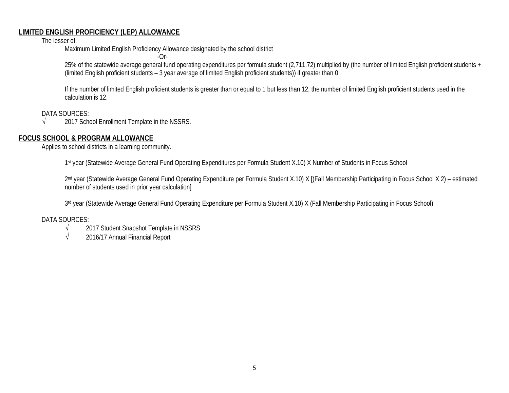#### **LIMITED ENGLISH PROFICIENCY (LEP) ALLOWANCE**

The lesser of:

Maximum Limited English Proficiency Allowance designated by the school district

 $-Or-$ 

25% of the statewide average general fund operating expenditures per formula student (2,711.72) multiplied by (the number of limited English proficient students + (limited English proficient students – 3 year average of limited English proficient students)) if greater than 0.

If the number of limited English proficient students is greater than or equal to 1 but less than 12, the number of limited English proficient students used in the calculation is 12.

DATA SOURCES:

√ 2017 School Enrollment Template in the NSSRS.

# **FOCUS SCHOOL & PROGRAM ALLOWANCE**

Applies to school districts in a learning community.

1st year (Statewide Average General Fund Operating Expenditures per Formula Student X.10) X Number of Students in Focus School

2<sup>nd</sup> year (Statewide Average General Fund Operating Expenditure per Formula Student X.10) X [(Fall Membership Participating in Focus School X 2) – estimated number of students used in prior year calculation]

3rd year (Statewide Average General Fund Operating Expenditure per Formula Student X.10) X (Fall Membership Participating in Focus School)

#### DATA SOURCES:

- √ 2017 Student Snapshot Template in NSSRS
- $\sqrt{2016/17}$  Annual Financial Report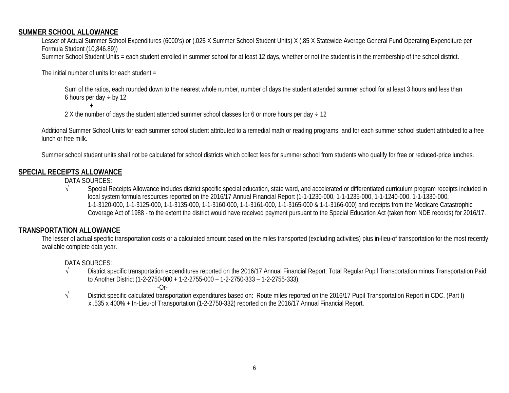#### **SUMMER SCHOOL ALLOWANCE**

Lesser of Actual Summer School Expenditures (6000's) or (.025 X Summer School Student Units) X (.85 X Statewide Average General Fund Operating Expenditure per Formula Student (10,846.89)) Summer School Student Units = each student enrolled in summer school for at least 12 days, whether or not the student is in the membership of the school district.

The initial number of units for each student  $=$ 

**+**

Sum of the ratios, each rounded down to the nearest whole number, number of days the student attended summer school for at least 3 hours and less than 6 hours per day  $\div$  by 12

2 X the number of days the student attended summer school classes for 6 or more hours per day  $\div$  12

Additional Summer School Units for each summer school student attributed to a remedial math or reading programs, and for each summer school student attributed to a free lunch or free milk.

Summer school student units shall not be calculated for school districts which collect fees for summer school from students who qualify for free or reduced-price lunches.

#### **SPECIAL RECEIPTS ALLOWANCE**

DATA SOURCES:

√ Special Receipts Allowance includes district specific special education, state ward, and accelerated or differentiated curriculum program receipts included in local system formula resources reported on the 2016/17 Annual Financial Report (1-1-1230-000, 1-1-1235-000, 1-1-1240-000, 1-1-1330-000, 1-1-3120-000, 1-1-3125-000, 1-1-3135-000, 1-1-3160-000, 1-1-3161-000, 1-1-3165-000 & 1-1-3166-000) and receipts from the Medicare Catastrophic Coverage Act of 1988 - to the extent the district would have received payment pursuant to the Special Education Act (taken from NDE records) for 2016/17.

# **TRANSPORTATION ALLOWANCE**

The lesser of actual specific transportation costs or a calculated amount based on the miles transported (excluding activities) plus in-lieu-of transportation for the most recently available complete data year.

DATA SOURCES:

- √ District specific transportation expenditures reported on the 2016/17 Annual Financial Report: Total Regular Pupil Transportation minus Transportation Paid to Another District (1-2-2750-000 + 1-2-2755-000 – 1-2-2750-333 – 1-2-2755-333).
	- $-Or-$
- √ District specific calculated transportation expenditures based on: Route miles reported on the 2016/17 Pupil Transportation Report in CDC, (Part I) x .535 x 400% + In-Lieu-of Transportation (1-2-2750-332) reported on the 2016/17 Annual Financial Report.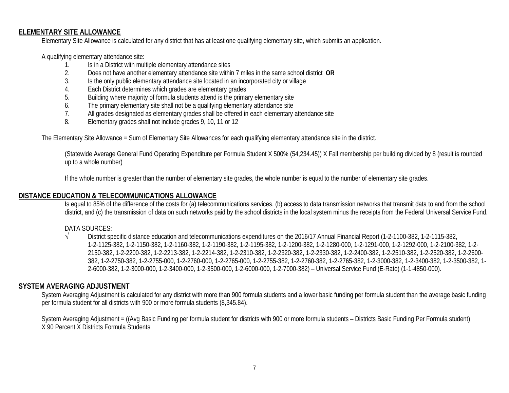#### **ELEMENTARY SITE ALLOWANCE**

Elementary Site Allowance is calculated for any district that has at least one qualifying elementary site, which submits an application.

A qualifying elementary attendance site:

- 1. Is in a District with multiple elementary attendance sites<br>2. Does not have another elementary attendance site withi
- 2. Does not have another elementary attendance site within 7 miles in the same school district **OR**
- 3. Is the only public elementary attendance site located in an incorporated city or village
- 4. Each District determines which grades are elementary grades
- 5. Building where majority of formula students attend is the primary elementary site
- 6. The primary elementary site shall not be a qualifying elementary attendance site
- 7. All grades designated as elementary grades shall be offered in each elementary attendance site
- 8. Elementary grades shall not include grades 9, 10, 11 or 12

The Elementary Site Allowance = Sum of Elementary Site Allowances for each qualifying elementary attendance site in the district.

(Statewide Average General Fund Operating Expenditure per Formula Student X 500% (54,234.45)) X Fall membership per building divided by 8 (result is rounded up to a whole number)

If the whole number is greater than the number of elementary site grades, the whole number is equal to the number of elementary site grades.

#### **DISTANCE EDUCATION & TELECOMMUNICATIONS ALLOWANCE**

Is equal to 85% of the difference of the costs for (a) telecommunications services, (b) access to data transmission networks that transmit data to and from the school district, and (c) the transmission of data on such networks paid by the school districts in the local system minus the receipts from the Federal Universal Service Fund.

#### DATA SOURCES:

√ District specific distance education and telecommunications expenditures on the 2016/17 Annual Financial Report (1-2-1100-382, 1-2-1115-382, 1-2-1125-382, 1-2-1150-382, 1-2-1160-382, 1-2-1190-382, 1-2-1195-382, 1-2-1200-382, 1-2-1280-000, 1-2-1291-000, 1-2-1292-000, 1-2-2100-382, 1-2- 2150-382, 1-2-2200-382, 1-2-2213-382, 1-2-2214-382, 1-2-2310-382, 1-2-2320-382, 1-2-2330-382, 1-2-2400-382, 1-2-2510-382, 1-2-2520-382, 1-2-2600- 382, 1-2-2750-382, 1-2-2755-000, 1-2-2760-000, 1-2-2765-000, 1-2-2755-382, 1-2-2760-382, 1-2-2765-382, 1-2-3000-382, 1-2-3400-382, 1-2-3500-382, 1- 2-6000-382, 1-2-3000-000, 1-2-3400-000, 1-2-3500-000, 1-2-6000-000, 1-2-7000-382) – Universal Service Fund (E-Rate) (1-1-4850-000).

#### **SYSTEM AVERAGING ADJUSTMENT**

System Averaging Adjustment is calculated for any district with more than 900 formula students and a lower basic funding per formula student than the average basic funding per formula student for all districts with 900 or more formula students (8,345.84).

System Averaging Adjustment = ((Avg Basic Funding per formula student for districts with 900 or more formula students – Districts Basic Funding Per Formula student) X 90 Percent X Districts Formula Students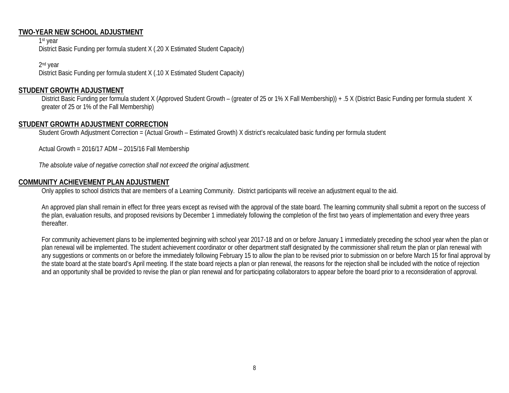#### **TWO-YEAR NEW SCHOOL ADJUSTMENT**

1st year District Basic Funding per formula student X (.20 X Estimated Student Capacity)

2nd year District Basic Funding per formula student X (.10 X Estimated Student Capacity)

#### **STUDENT GROWTH ADJUSTMENT**

District Basic Funding per formula student X (Approved Student Growth – (greater of 25 or 1% X Fall Membership)) + .5 X (District Basic Funding per formula student X greater of 25 or 1% of the Fall Membership)

#### **STUDENT GROWTH ADJUSTMENT CORRECTION**

Student Growth Adjustment Correction = (Actual Growth – Estimated Growth) X district's recalculated basic funding per formula student

Actual Growth = 2016/17 ADM – 2015/16 Fall Membership

*The absolute value of negative correction shall not exceed the original adjustment.*

#### **COMMUNITY ACHIEVEMENT PLAN ADJUSTMENT**

Only applies to school districts that are members of a Learning Community. District participants will receive an adjustment equal to the aid.

An approved plan shall remain in effect for three years except as revised with the approval of the state board. The learning community shall submit a report on the success of the plan, evaluation results, and proposed revisions by December 1 immediately following the completion of the first two years of implementation and every three years thereafter.

For community achievement plans to be implemented beginning with school year 2017-18 and on or before January 1 immediately preceding the school year when the plan or plan renewal will be implemented. The student achievement coordinator or other department staff designated by the commissioner shall return the plan or plan renewal with any suggestions or comments on or before the immediately following February 15 to allow the plan to be revised prior to submission on or before March 15 for final approval by the state board at the state board's April meeting. If the state board rejects a plan or plan renewal, the reasons for the rejection shall be included with the notice of rejection and an opportunity shall be provided to revise the plan or plan renewal and for participating collaborators to appear before the board prior to a reconsideration of approval.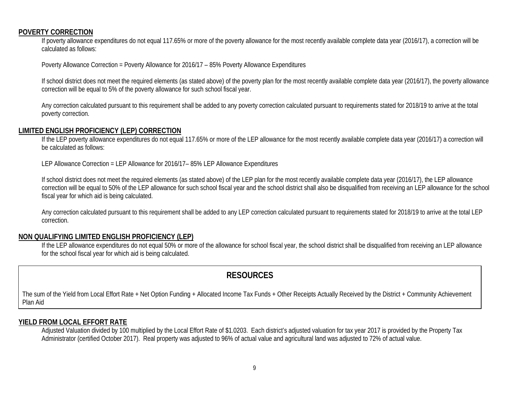#### **POVERTY CORRECTION**

If poverty allowance expenditures do not equal 117.65% or more of the poverty allowance for the most recently available complete data year (2016/17), a correction will be calculated as follows:

Poverty Allowance Correction = Poverty Allowance for 2016/17 – 85% Poverty Allowance Expenditures

If school district does not meet the required elements (as stated above) of the poverty plan for the most recently available complete data year (2016/17), the poverty allowance correction will be equal to 5% of the poverty allowance for such school fiscal year.

Any correction calculated pursuant to this requirement shall be added to any poverty correction calculated pursuant to requirements stated for 2018/19 to arrive at the total poverty correction.

#### **LIMITED ENGLISH PROFICIENCY (LEP) CORRECTION**

If the LEP poverty allowance expenditures do not equal 117.65% or more of the LEP allowance for the most recently available complete data year (2016/17) a correction will be calculated as follows:

LEP Allowance Correction = LEP Allowance for 2016/17– 85% LEP Allowance Expenditures

If school district does not meet the required elements (as stated above) of the LEP plan for the most recently available complete data year (2016/17), the LEP allowance correction will be equal to 50% of the LEP allowance for such school fiscal year and the school district shall also be disqualified from receiving an LEP allowance for the school fiscal year for which aid is being calculated.

Any correction calculated pursuant to this requirement shall be added to any LEP correction calculated pursuant to requirements stated for 2018/19 to arrive at the total LEP correction.

#### **NON QUALIFYING LIMITED ENGLISH PROFICIENCY (LEP)**

If the LEP allowance expenditures do not equal 50% or more of the allowance for school fiscal year, the school district shall be disqualified from receiving an LEP allowance for the school fiscal year for which aid is being calculated.

# **RESOURCES**

The sum of the Yield from Local Effort Rate + Net Option Funding + Allocated Income Tax Funds + Other Receipts Actually Received by the District + Community Achievement Plan Aid

#### **YIELD FROM LOCAL EFFORT RATE**

Adjusted Valuation divided by 100 multiplied by the Local Effort Rate of \$1.0203. Each district's adjusted valuation for tax year 2017 is provided by the Property Tax Administrator (certified October 2017). Real property was adjusted to 96% of actual value and agricultural land was adjusted to 72% of actual value.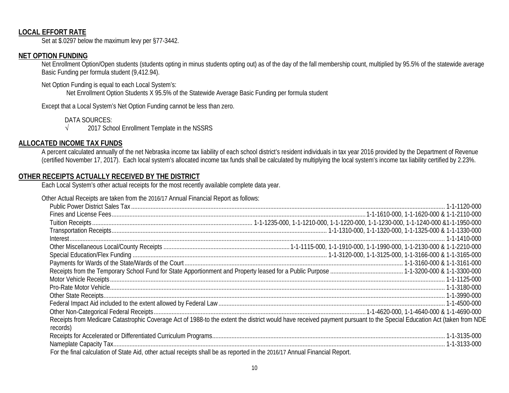#### **LOCAL EFFORT RATE**

Set at \$.0297 below the maximum levy per §77-3442.

#### **NET OPTION FUNDING**

Net Enrollment Option/Open students (students opting in minus students opting out) as of the day of the fall membership count, multiplied by 95.5% of the statewide average Basic Funding per formula student (9,412.94).

Net Option Funding is equal to each Local System's:

Net Enrollment Option Students X 95.5% of the Statewide Average Basic Funding per formula student

Except that a Local System's Net Option Funding cannot be less than zero.

DATA SOURCES:

√ 2017 School Enrollment Template in the NSSRS

#### **ALLOCATED INCOME TAX FUNDS**

A percent calculated annually of the net Nebraska income tax liability of each school district's resident individuals in tax year 2016 provided by the Department of Revenue (certified November 17, 2017). Each local system's allocated income tax funds shall be calculated by multiplying the local system's income tax liability certified by 2.23%.

#### **OTHER RECEIPTS ACTUALLY RECEIVED BY THE DISTRICT**

Each Local System's other actual receipts for the most recently available complete data year.

Other Actual Receipts are taken from the 2016/17 Annual Financial Report as follows:

| records)                                                                                                                   | Receipts from Medicare Catastrophic Coverage Act of 1988-to the extent the district would have received payment pursuant to the Special Education Act (taken from NDE |
|----------------------------------------------------------------------------------------------------------------------------|-----------------------------------------------------------------------------------------------------------------------------------------------------------------------|
|                                                                                                                            |                                                                                                                                                                       |
|                                                                                                                            |                                                                                                                                                                       |
| For the final calculation of State Aid, other actual receipts shall be as reported in the 2016/17 Annual Financial Report. |                                                                                                                                                                       |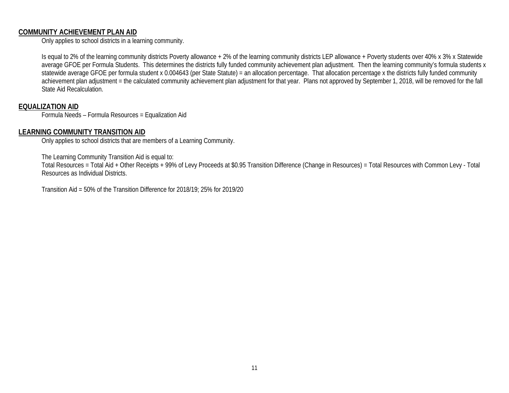#### **COMMUNITY ACHIEVEMENT PLAN AID**

Only applies to school districts in a learning community.

Is equal to 2% of the learning community districts Poverty allowance + 2% of the learning community districts LEP allowance + Poverty students over 40% x 3% x Statewide average GFOE per Formula Students. This determines the districts fully funded community achievement plan adjustment. Then the learning community's formula students x statewide average GFOE per formula student x 0.004643 (per State Statute) = an allocation percentage. That allocation percentage x the districts fully funded community achievement plan adjustment = the calculated community achievement plan adjustment for that year. Plans not approved by September 1, 2018, will be removed for the fall State Aid Recalculation.

#### **EQUALIZATION AID**

Formula Needs – Formula Resources = Equalization Aid

#### **LEARNING COMMUNITY TRANSITION AID**

Only applies to school districts that are members of a Learning Community.

The Learning Community Transition Aid is equal to:

Total Resources = Total Aid + Other Receipts + 99% of Levy Proceeds at \$0.95 Transition Difference (Change in Resources) = Total Resources with Common Levy - Total Resources as Individual Districts.

Transition Aid = 50% of the Transition Difference for 2018/19; 25% for 2019/20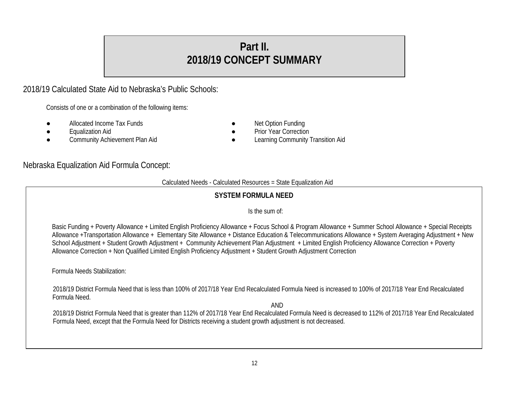# **Part II. 2018/19 CONCEPT SUMMARY**

# 2018/19 Calculated State Aid to Nebraska's Public Schools:

Consists of one or a combination of the following items:

- Allocated Income Tax Funds **and Server Control Control** Net Option Funding
- 
- Equalization Aid<br>
Community Achievement Plan Aid<br>
Community achievement Plan Aid<br>
Community in the Learning Community in the Community of Learning Community
- -
	- Learning Community Transition Aid

# Nebraska Equalization Aid Formula Concept:

#### Calculated Needs - Calculated Resources = State Equalization Aid

# **SYSTEM FORMULA NEED**

#### Is the sum of:

Basic Funding + Poverty Allowance + Limited English Proficiency Allowance + Focus School & Program Allowance + Summer School Allowance + Special Receipts Allowance +Transportation Allowance + Elementary Site Allowance + Distance Education & Telecommunications Allowance + System Averaging Adjustment + New School Adjustment + Student Growth Adjustment + Community Achievement Plan Adjustment + Limited English Proficiency Allowance Correction + Poverty Allowance Correction + Non Qualified Limited English Proficiency Adjustment + Student Growth Adjustment Correction

Formula Needs Stabilization:

2018/19 District Formula Need that is less than 100% of 2017/18 Year End Recalculated Formula Need is increased to 100% of 2017/18 Year End Recalculated Formula Need.

AND

2018/19 District Formula Need that is greater than 112% of 2017/18 Year End Recalculated Formula Need is decreased to 112% of 2017/18 Year End Recalculated Formula Need, except that the Formula Need for Districts receiving a student growth adjustment is not decreased.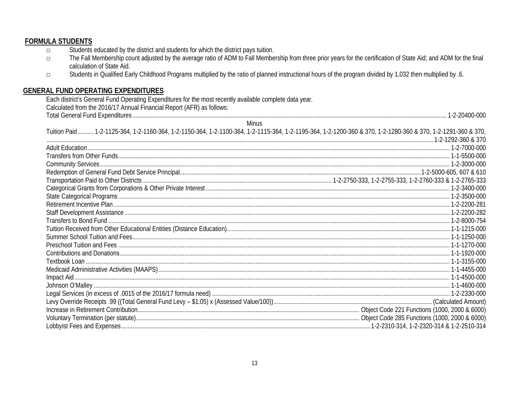#### **FORMULA STUDENTS** Students educated by the district and students for which the district pays tuition.  $\Box$ The Fall Membership count adjusted by the average ratio of ADM to Fall Membership from three prior years for the certification of State Aid; and ADM for the final  $\Box$ calculation of State Aid. Students in Qualified Early Childhood Programs multiplied by the ratio of planned instructional hours of the program divided by 1,032 then multiplied by .6.  $\Box$ **GENERAL FUND OPERATING EXPENDITURES** Each district's General Fund Operating Expenditures for the most recently available complete data year. Calculated from the 2016/17 Annual Financial Report (AFR) as follows: **Minus** Tuition Paid.......... 1-2-1125-364, 1-2-1160-364, 1-2-1150-364, 1-2-1100-364, 1-2-1115-364, 1-2-1195-364, 1-2-1200-360 & 370, 1-2-1280-360 & 370, 1-2-1291-360 & 370,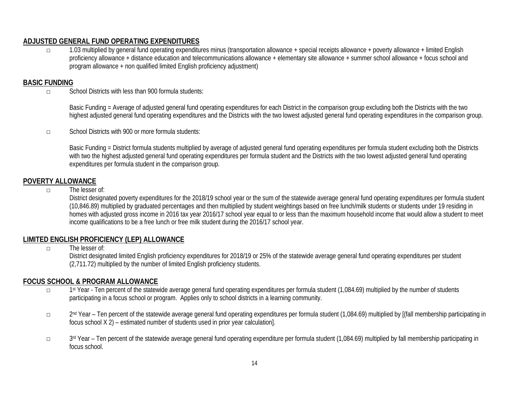# **ADJUSTED GENERAL FUND OPERATING EXPENDITURES**

□ 1.03 multiplied by general fund operating expenditures minus (transportation allowance + special receipts allowance + poverty allowance + limited English proficiency allowance + distance education and telecommunications allowance + elementary site allowance + summer school allowance + focus school and program allowance + non qualified limited English proficiency adjustment)

#### **BASIC FUNDING**

□ School Districts with less than 900 formula students:

Basic Funding = Average of adjusted general fund operating expenditures for each District in the comparison group excluding both the Districts with the two highest adjusted general fund operating expenditures and the Districts with the two lowest adjusted general fund operating expenditures in the comparison group.

□ School Districts with 900 or more formula students:

Basic Funding = District formula students multiplied by average of adjusted general fund operating expenditures per formula student excluding both the Districts with two the highest adjusted general fund operating expenditures per formula student and the Districts with the two lowest adjusted general fund operating expenditures per formula student in the comparison group.

#### **POVERTY ALLOWANCE**

□ The lesser of:

District designated poverty expenditures for the 2018/19 school year or the sum of the statewide average general fund operating expenditures per formula student (10,846.89) multiplied by graduated percentages and then multiplied by student weightings based on free lunch/milk students or students under 19 residing in homes with adjusted gross income in 2016 tax year 2016/17 school year equal to or less than the maximum household income that would allow a student to meet income qualifications to be a free lunch or free milk student during the 2016/17 school year.

# **LIMITED ENGLISH PROFICIENCY (LEP) ALLOWANCE**

 $\Box$  The lesser of:

District designated limited English proficiency expenditures for 2018/19 or 25% of the statewide average general fund operating expenditures per student (2,711.72) multiplied by the number of limited English proficiency students.

#### **FOCUS SCHOOL & PROGRAM ALLOWANCE**

- □ 1st Year Ten percent of the statewide average general fund operating expenditures per formula student (1,084.69) multiplied by the number of students participating in a focus school or program. Applies only to school districts in a learning community.
- □ 2nd Year Ten percent of the statewide average general fund operating expenditures per formula student (1,084.69) multiplied by [(fall membership participating in focus school X 2) – estimated number of students used in prior year calculation].
- □ 3rd Year Ten percent of the statewide average general fund operating expenditure per formula student (1,084.69) multiplied by fall membership participating in focus school.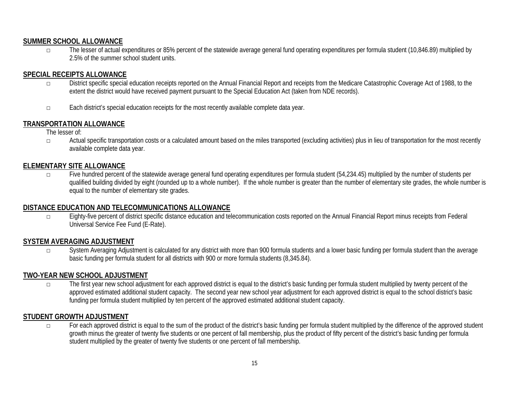#### **SUMMER SCHOOL ALLOWANCE**

□ The lesser of actual expenditures or 85% percent of the statewide average general fund operating expenditures per formula student (10,846.89) multiplied by 2.5% of the summer school student units.

# **SPECIAL RECEIPTS ALLOWANCE**

- □ District specific special education receipts reported on the Annual Financial Report and receipts from the Medicare Catastrophic Coverage Act of 1988, to the extent the district would have received payment pursuant to the Special Education Act (taken from NDE records).
- □ Each district's special education receipts for the most recently available complete data year.

# **TRANSPORTATION ALLOWANCE**

The lesser of:

□ Actual specific transportation costs or a calculated amount based on the miles transported (excluding activities) plus in lieu of transportation for the most recently available complete data year.

#### **ELEMENTARY SITE ALLOWANCE**

□ Five hundred percent of the statewide average general fund operating expenditures per formula student (54,234.45) multiplied by the number of students per qualified building divided by eight (rounded up to a whole number). If the whole number is greater than the number of elementary site grades, the whole number is equal to the number of elementary site grades.

#### **DISTANCE EDUCATION AND TELECOMMUNICATIONS ALLOWANCE**

□ Eighty-five percent of district specific distance education and telecommunication costs reported on the Annual Financial Report minus receipts from Federal Universal Service Fee Fund (E-Rate).

#### **SYSTEM AVERAGING ADJUSTMENT**

□ System Averaging Adjustment is calculated for any district with more than 900 formula students and a lower basic funding per formula student than the average basic funding per formula student for all districts with 900 or more formula students (8,345.84).

#### **TWO-YEAR NEW SCHOOL ADJUSTMENT**

□ The first year new school adjustment for each approved district is equal to the district's basic funding per formula student multiplied by twenty percent of the approved estimated additional student capacity. The second year new school year adjustment for each approved district is equal to the school district's basic funding per formula student multiplied by ten percent of the approved estimated additional student capacity.

# **STUDENT GROWTH ADJUSTMENT**

□ For each approved district is equal to the sum of the product of the district's basic funding per formula student multiplied by the difference of the approved student growth minus the greater of twenty five students or one percent of fall membership, plus the product of fifty percent of the district's basic funding per formula student multiplied by the greater of twenty five students or one percent of fall membership.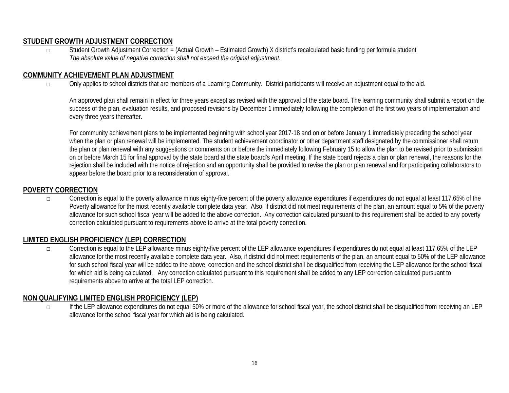# **STUDENT GROWTH ADJUSTMENT CORRECTION**

□ Student Growth Adjustment Correction = (Actual Growth – Estimated Growth) X district's recalculated basic funding per formula student *The absolute value of negative correction shall not exceed the original adjustment.*

# **COMMUNITY ACHIEVEMENT PLAN ADJUSTMENT**

□ Only applies to school districts that are members of a Learning Community. District participants will receive an adjustment equal to the aid.

An approved plan shall remain in effect for three years except as revised with the approval of the state board. The learning community shall submit a report on the success of the plan, evaluation results, and proposed revisions by December 1 immediately following the completion of the first two years of implementation and every three years thereafter.

For community achievement plans to be implemented beginning with school year 2017-18 and on or before January 1 immediately preceding the school year when the plan or plan renewal will be implemented. The student achievement coordinator or other department staff designated by the commissioner shall return the plan or plan renewal with any suggestions or comments on or before the immediately following February 15 to allow the plan to be revised prior to submission on or before March 15 for final approval by the state board at the state board's April meeting. If the state board rejects a plan or plan renewal, the reasons for the rejection shall be included with the notice of rejection and an opportunity shall be provided to revise the plan or plan renewal and for participating collaborators to appear before the board prior to a reconsideration of approval.

#### **POVERTY CORRECTION**

□ Correction is equal to the poverty allowance minus eighty-five percent of the poverty allowance expenditures if expenditures do not equal at least 117.65% of the Poverty allowance for the most recently available complete data year. Also, if district did not meet requirements of the plan, an amount equal to 5% of the poverty allowance for such school fiscal year will be added to the above correction. Any correction calculated pursuant to this requirement shall be added to any poverty correction calculated pursuant to requirements above to arrive at the total poverty correction.

# **LIMITED ENGLISH PROFICIENCY (LEP) CORRECTION**

Correction is equal to the LEP allowance minus eighty-five percent of the LEP allowance expenditures if expenditures do not equal at least 117.65% of the LEP allowance for the most recently available complete data year. Also, if district did not meet requirements of the plan, an amount equal to 50% of the LEP allowance for such school fiscal year will be added to the above correction and the school district shall be disqualified from receiving the LEP allowance for the school fiscal for which aid is being calculated. Any correction calculated pursuant to this requirement shall be added to any LEP correction calculated pursuant to requirements above to arrive at the total LEP correction.

#### **NON QUALIFYING LIMITED ENGLISH PROFICIENCY (LEP)**

□ If the LEP allowance expenditures do not equal 50% or more of the allowance for school fiscal year, the school district shall be disqualified from receiving an LEP allowance for the school fiscal year for which aid is being calculated.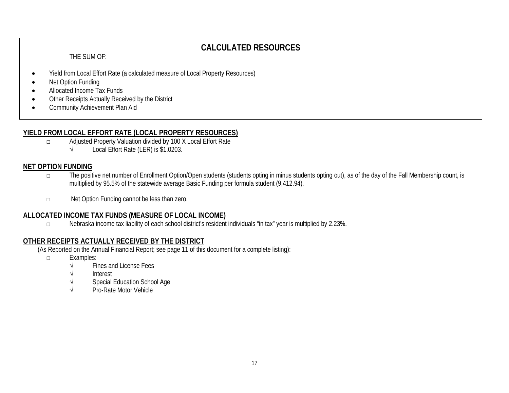# **CALCULATED RESOURCES**

THE SUM OF:

- Yield from Local Effort Rate (a calculated measure of Local Property Resources)
- Net Option Funding
- Allocated Income Tax Funds
- Other Receipts Actually Received by the District
- Community Achievement Plan Aid

# **YIELD FROM LOCAL EFFORT RATE (LOCAL PROPERTY RESOURCES)**

- □ Adjusted Property Valuation divided by 100 X Local Effort Rate<br>↓ Local Effort Rate (LER) is \$1.0203.
	- Local Effort Rate (LER) is \$1.0203.

# **NET OPTION FUNDING**

- □ The positive net number of Enrollment Option/Open students (students opting in minus students opting out), as of the day of the Fall Membership count, is multiplied by 95.5% of the statewide average Basic Funding per formula student (9,412.94).
- □ Net Option Funding cannot be less than zero.

#### **ALLOCATED INCOME TAX FUNDS (MEASURE OF LOCAL INCOME)**

□ Nebraska income tax liability of each school district's resident individuals "in tax" year is multiplied by 2.23%.

# **OTHER RECEIPTS ACTUALLY RECEIVED BY THE DISTRICT**

(As Reported on the Annual Financial Report; see page 11 of this document for a complete listing):

- □ Examples:
	- Fines and License Fees
	- √ Interest
	- Special Education School Age
	- √ Pro-Rate Motor Vehicle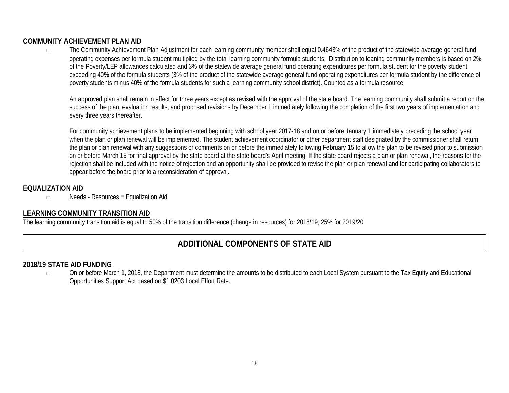# **COMMUNITY ACHIEVEMENT PLAN AID**

□ The Community Achievement Plan Adjustment for each learning community member shall equal 0.4643% of the product of the statewide average general fund operating expenses per formula student multiplied by the total learning community formula students. Distribution to leaning community members is based on 2% of the Poverty/LEP allowances calculated and 3% of the statewide average general fund operating expenditures per formula student for the poverty student exceeding 40% of the formula students (3% of the product of the statewide average general fund operating expenditures per formula student by the difference of poverty students minus 40% of the formula students for such a learning community school district). Counted as a formula resource.

An approved plan shall remain in effect for three years except as revised with the approval of the state board. The learning community shall submit a report on the success of the plan, evaluation results, and proposed revisions by December 1 immediately following the completion of the first two years of implementation and every three years thereafter.

For community achievement plans to be implemented beginning with school year 2017-18 and on or before January 1 immediately preceding the school year when the plan or plan renewal will be implemented. The student achievement coordinator or other department staff designated by the commissioner shall return the plan or plan renewal with any suggestions or comments on or before the immediately following February 15 to allow the plan to be revised prior to submission on or before March 15 for final approval by the state board at the state board's April meeting. If the state board rejects a plan or plan renewal, the reasons for the rejection shall be included with the notice of rejection and an opportunity shall be provided to revise the plan or plan renewal and for participating collaborators to appear before the board prior to a reconsideration of approval.

# **EQUALIZATION AID**

□ Needs - Resources = Equalization Aid

# **LEARNING COMMUNITY TRANSITION AID**

The learning community transition aid is equal to 50% of the transition difference (change in resources) for 2018/19; 25% for 2019/20.

# **ADDITIONAL COMPONENTS OF STATE AID**

#### **2018/19 STATE AID FUNDING**

□ On or before March 1, 2018, the Department must determine the amounts to be distributed to each Local System pursuant to the Tax Equity and Educational Opportunities Support Act based on \$1.0203 Local Effort Rate.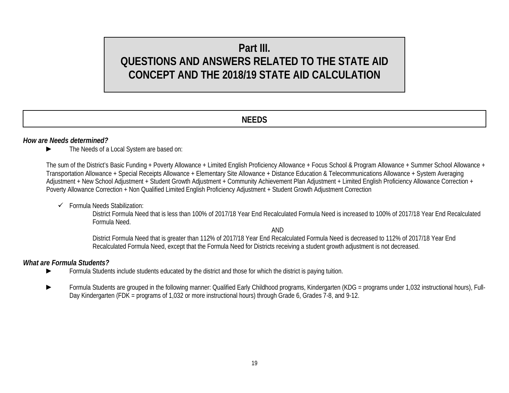# **Part III. QUESTIONS AND ANSWERS RELATED TO THE STATE AID CONCEPT AND THE 2018/19 STATE AID CALCULATION**

# **NEEDS**

#### *How are Needs determined?*

► The Needs of a Local System are based on:

The sum of the District's Basic Funding + Poverty Allowance + Limited English Proficiency Allowance + Focus School & Program Allowance + Summer School Allowance + Transportation Allowance + Special Receipts Allowance + Elementary Site Allowance + Distance Education & Telecommunications Allowance + System Averaging Adjustment + New School Adjustment + Student Growth Adjustment + Community Achievement Plan Adjustment + Limited English Proficiency Allowance Correction + Poverty Allowance Correction + Non Qualified Limited English Proficiency Adjustment + Student Growth Adjustment Correction

 $\checkmark$  Formula Needs Stabilization:

District Formula Need that is less than 100% of 2017/18 Year End Recalculated Formula Need is increased to 100% of 2017/18 Year End Recalculated Formula Need.

AND

District Formula Need that is greater than 112% of 2017/18 Year End Recalculated Formula Need is decreased to 112% of 2017/18 Year End Recalculated Formula Need, except that the Formula Need for Districts receiving a student growth adjustment is not decreased.

#### *What are Formula Students?*

- ► Formula Students include students educated by the district and those for which the district is paying tuition.
- Formula Students are grouped in the following manner: Qualified Early Childhood programs, Kindergarten (KDG = programs under 1,032 instructional hours), Full-Day Kindergarten (FDK = programs of 1,032 or more instructional hours) through Grade 6, Grades 7-8, and 9-12.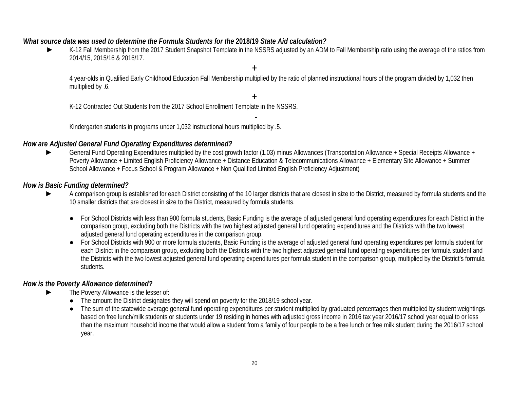#### *What source data was used to determine the Formula Students for the* **2018/19** *State Aid calculation?*

► K-12 Fall Membership from the 2017 Student Snapshot Template in the NSSRS adjusted by an ADM to Fall Membership ratio using the average of the ratios from 2014/15, 2015/16 & 2016/17.

4 year-olds in Qualified Early Childhood Education Fall Membership multiplied by the ratio of planned instructional hours of the program divided by 1,032 then multiplied by .6.

+

+

K-12 Contracted Out Students from the 2017 School Enrollment Template in the NSSRS.

- Kindergarten students in programs under 1,032 instructional hours multiplied by .5.

#### *How are Adjusted General Fund Operating Expenditures determined?*

General Fund Operating Expenditures multiplied by the cost growth factor (1.03) minus Allowances (Transportation Allowance + Special Receipts Allowance + Poverty Allowance + Limited English Proficiency Allowance + Distance Education & Telecommunications Allowance + Elementary Site Allowance + Summer School Allowance + Focus School & Program Allowance + Non Qualified Limited English Proficiency Adjustment)

#### *How is Basic Funding determined?*

- A comparison group is established for each District consisting of the 10 larger districts that are closest in size to the District, measured by formula students and the 10 smaller districts that are closest in size to the District, measured by formula students.
	- For School Districts with less than 900 formula students, Basic Funding is the average of adjusted general fund operating expenditures for each District in the comparison group, excluding both the Districts with the two highest adjusted general fund operating expenditures and the Districts with the two lowest adjusted general fund operating expenditures in the comparison group.
	- For School Districts with 900 or more formula students, Basic Funding is the average of adjusted general fund operating expenditures per formula student for each District in the comparison group, excluding both the Districts with the two highest adjusted general fund operating expenditures per formula student and the Districts with the two lowest adjusted general fund operating expenditures per formula student in the comparison group, multiplied by the District's formula students.

# *How is the Poverty Allowance determined?*

- The Poverty Allowance is the lesser of:
	- The amount the District designates they will spend on poverty for the 2018/19 school year.
	- The sum of the statewide average general fund operating expenditures per student multiplied by graduated percentages then multiplied by student weightings based on free lunch/milk students or students under 19 residing in homes with adjusted gross income in 2016 tax year 2016/17 school year equal to or less than the maximum household income that would allow a student from a family of four people to be a free lunch or free milk student during the 2016/17 school year.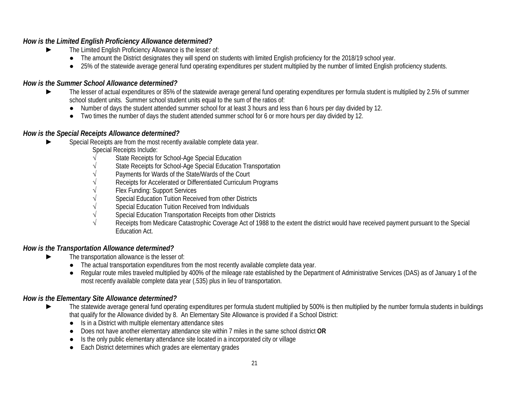# *How is the Limited English Proficiency Allowance determined?*

- ► The Limited English Proficiency Allowance is the lesser of:
	- The amount the District designates they will spend on students with limited English proficiency for the 2018/19 school year.
	- 25% of the statewide average general fund operating expenditures per student multiplied by the number of limited English proficiency students.

# *How is the Summer School Allowance determined?*

- ► The lesser of actual expenditures or 85% of the statewide average general fund operating expenditures per formula student is multiplied by 2.5% of summer school student units. Summer school student units equal to the sum of the ratios of:
	- Number of days the student attended summer school for at least 3 hours and less than 6 hours per day divided by 12.
	- Two times the number of days the student attended summer school for 6 or more hours per day divided by 12.

# *How is the Special Receipts Allowance determined?*

- Special Receipts are from the most recently available complete data year.
	- Special Receipts Include:
	- State Receipts for School-Age Special Education
	- State Receipts for School-Age Special Education Transportation
	- Payments for Wards of the State/Wards of the Court
	- Receipts for Accelerated or Differentiated Curriculum Programs
	- Flex Funding: Support Services
	- Special Education Tuition Received from other Districts
	- Special Education Tuition Received from Individuals
	- Special Education Transportation Receipts from other Districts
	- Receipts from Medicare Catastrophic Coverage Act of 1988 to the extent the district would have received payment pursuant to the Special Education Act.

# *How is the Transportation Allowance determined?*

- The transportation allowance is the lesser of:
	- The actual transportation expenditures from the most recently available complete data year.
	- Regular route miles traveled multiplied by 400% of the mileage rate established by the Department of Administrative Services (DAS) as of January 1 of the most recently available complete data year (.535) plus in lieu of transportation.

# *How is the Elementary Site Allowance determined?*

- ► The statewide average general fund operating expenditures per formula student multiplied by 500% is then multiplied by the number formula students in buildings that qualify for the Allowance divided by 8. An Elementary Site Allowance is provided if a School District:
	- Is in a District with multiple elementary attendance sites
	- Does not have another elementary attendance site within 7 miles in the same school district **OR**
	- Is the only public elementary attendance site located in a incorporated city or village
	- Each District determines which grades are elementary grades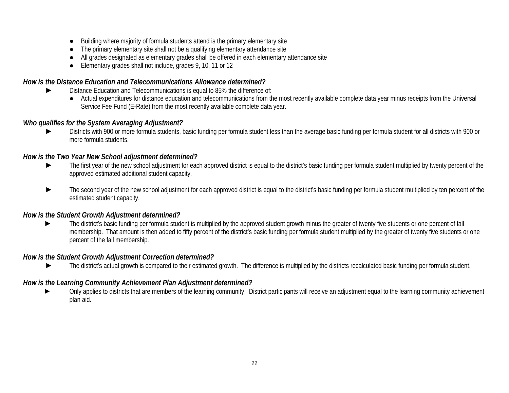- Building where majority of formula students attend is the primary elementary site
- The primary elementary site shall not be a qualifying elementary attendance site
- All grades designated as elementary grades shall be offered in each elementary attendance site
- Elementary grades shall not include, grades 9, 10, 11 or 12

#### *How is the Distance Education and Telecommunications Allowance determined?*

- Distance Education and Telecommunications is equal to 85% the difference of:
	- Actual expenditures for distance education and telecommunications from the most recently available complete data year minus receipts from the Universal Service Fee Fund (E-Rate) from the most recently available complete data year.

# *Who qualifies for the System Averaging Adjustment?*

Districts with 900 or more formula students, basic funding per formula student less than the average basic funding per formula student for all districts with 900 or more formula students.

# *How is the Two Year New School adjustment determined?*

- ► The first year of the new school adjustment for each approved district is equal to the district's basic funding per formula student multiplied by twenty percent of the approved estimated additional student capacity.
- The second year of the new school adjustment for each approved district is equal to the district's basic funding per formula student multiplied by ten percent of the estimated student capacity.

# *How is the Student Growth Adjustment determined?*

The district's basic funding per formula student is multiplied by the approved student growth minus the greater of twenty five students or one percent of fall membership. That amount is then added to fifty percent of the district's basic funding per formula student multiplied by the greater of twenty five students or one percent of the fall membership.

# *How is the Student Growth Adjustment Correction determined?*

► The district's actual growth is compared to their estimated growth. The difference is multiplied by the districts recalculated basic funding per formula student.

# *How is the Learning Community Achievement Plan Adjustment determined?*

Only applies to districts that are members of the learning community. District participants will receive an adjustment equal to the learning community achievement plan aid.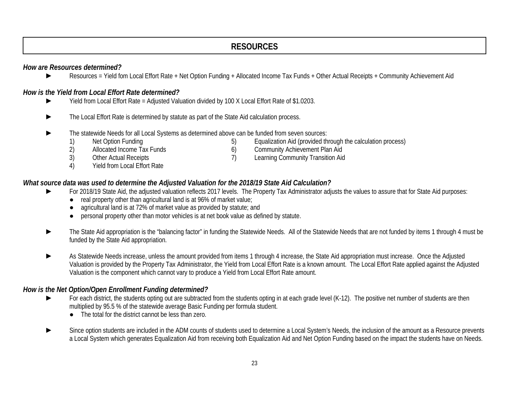# **RESOURCES**

#### *How are Resources determined?*

► Resources = Yield fom Local Effort Rate + Net Option Funding + Allocated Income Tax Funds + Other Actual Receipts + Community Achievement Aid

#### *How is the Yield from Local Effort Rate determined?*

- Yield from Local Effort Rate = Adjusted Valuation divided by 100 X Local Effort Rate of \$1.0203.
- ► The Local Effort Rate is determined by statute as part of the State Aid calculation process.
- The statewide Needs for all Local Systems as determined above can be funded from seven sources:<br>1) Net Option Funding (5) Equalization Aid (provided th
	-
	- 1) Net Option Funding 13 and 5) Equalization Aid (provided through the calculation process)<br>2) Allocated Income Tax Funds 6) Community Achievement Plan Aid Allocated Income Tax Funds<br>
	2) Community Achievement Plan Aid<br>
	2) Community Achievement Plan Aid<br>
	2) Learning Community Transition Aid
	- 3) Other Actual Receipts **7** The annual Learning Community Transition Aid
	- 4) Yield from Local Effort Rate

#### *What source data was used to determine the Adjusted Valuation for the 2018/19 State Aid Calculation?*

- For 2018/19 State Aid, the adjusted valuation reflects 2017 levels. The Property Tax Administrator adjusts the values to assure that for State Aid purposes:
	- real property other than agricultural land is at 96% of market value;
	- agricultural land is at 72% of market value as provided by statute; and
	- personal property other than motor vehicles is at net book value as defined by statute.
- The State Aid appropriation is the "balancing factor" in funding the Statewide Needs. All of the Statewide Needs that are not funded by items 1 through 4 must be funded by the State Aid appropriation.
- As Statewide Needs increase, unless the amount provided from items 1 through 4 increase, the State Aid appropriation must increase. Once the Adjusted Valuation is provided by the Property Tax Administrator, the Yield from Local Effort Rate is a known amount. The Local Effort Rate applied against the Adjusted Valuation is the component which cannot vary to produce a Yield from Local Effort Rate amount.

#### *How is the Net Option/Open Enrollment Funding determined?*

- For each district, the students opting out are subtracted from the students opting in at each grade level (K-12). The positive net number of students are then multiplied by 95.5 % of the statewide average Basic Funding per formula student.
	- The total for the district cannot be less than zero.
- Since option students are included in the ADM counts of students used to determine a Local System's Needs, the inclusion of the amount as a Resource prevents a Local System which generates Equalization Aid from receiving both Equalization Aid and Net Option Funding based on the impact the students have on Needs.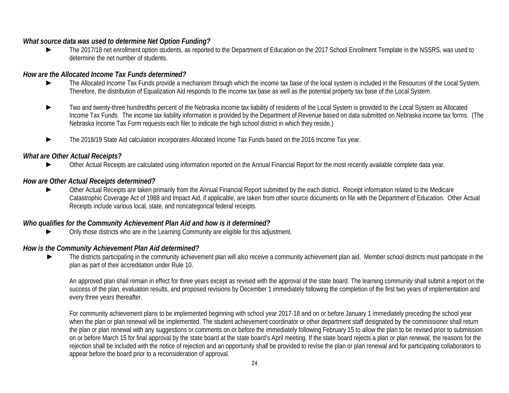#### *What source data was used to determine Net Option Funding?*

The 2017/18 net enrollment option students, as reported to the Department of Education on the 2017 School Enrollment Template in the NSSRS, was used to determine the net number of students.

#### *How are the Allocated Income Tax Funds determined?*

- ► The Allocated Income Tax Funds provide a mechanism through which the income tax base of the local system is included in the Resources of the Local System. Therefore, the distribution of Equalization Aid responds to the income tax base as well as the potential property tax base of the Local System.
- Two and twenty-three hundredths percent of the Nebraska income tax liability of residents of the Local System is provided to the Local System as Allocated Income Tax Funds. The income tax liability information is provided by the Department of Revenue based on data submitted on Nebraska income tax forms. (The Nebraska Income Tax Form requests each filer to indicate the high school district in which they reside.)
- The 2018/19 State Aid calculation incorporates Allocated Income Tax Funds based on the 2016 Income Tax year.

#### *What are Other Actual Receipts?*

Other Actual Receipts are calculated using information reported on the Annual Financial Report for the most recently available complete data year.

#### *How are Other Actual Receipts determined?*

Other Actual Receipts are taken primarily from the Annual Financial Report submitted by the each district. Receipt information related to the Medicare Catastrophic Coverage Act of 1988 and Impact Aid, if applicable, are taken from other source documents on file with the Department of Education. Other Actual Receipts include various local, state, and noncategorical federal receipts.

#### *Who qualifies for the Community Achievement Plan Aid and how is it determined?*

Only those districts who are in the Learning Community are eligible for this adjustment.

# *How is the Community Achievement Plan Aid determined?*

The districts participating in the community achievement plan will also receive a community achievement plan aid. Member school districts must participate in the plan as part of their accreditation under Rule 10.

An approved plan shall remain in effect for three years except as revised with the approval of the state board. The learning community shall submit a report on the success of the plan, evaluation results, and proposed revisions by December 1 immediately following the completion of the first two years of implementation and every three years thereafter.

For community achievement plans to be implemented beginning with school year 2017-18 and on or before January 1 immediately preceding the school year when the plan or plan renewal will be implemented. The student achievement coordinator or other department staff designated by the commissioner shall return the plan or plan renewal with any suggestions or comments on or before the immediately following February 15 to allow the plan to be revised prior to submission on or before March 15 for final approval by the state board at the state board's April meeting. If the state board rejects a plan or plan renewal, the reasons for the rejection shall be included with the notice of rejection and an opportunity shall be provided to revise the plan or plan renewal and for participating collaborators to appear before the board prior to a reconsideration of approval.